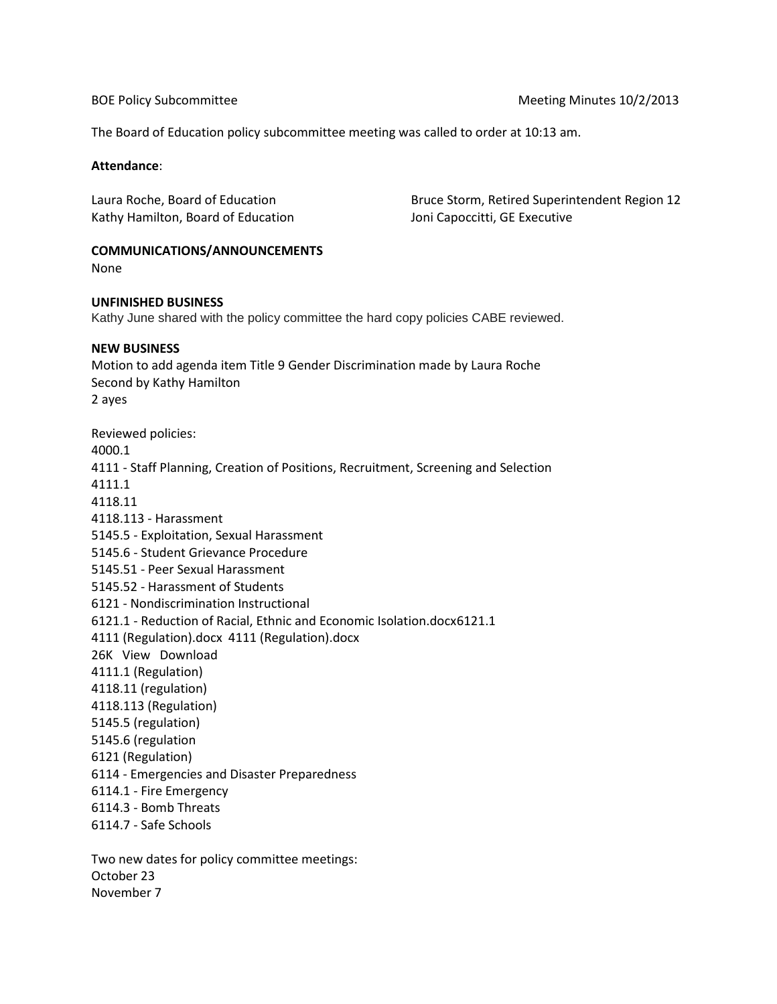The Board of Education policy subcommittee meeting was called to order at 10:13 am.

## **Attendance**:

Kathy Hamilton, Board of Education Joni Capoccitti, GE Executive

Laura Roche, Board of Education Bruce Storm, Retired Superintendent Region 12

# **COMMUNICATIONS/ANNOUNCEMENTS**

None

### **UNFINISHED BUSINESS**

Kathy June shared with the policy committee the hard copy policies CABE reviewed.

### **NEW BUSINESS**

Motion to add agenda item Title 9 Gender Discrimination made by Laura Roche Second by Kathy Hamilton 2 ayes Reviewed policies: 4000.1 4111 - Staff Planning, Creation of Positions, Recruitment, Screening and Selection 4111.1 4118.11 4118.113 - Harassment 5145.5 - Exploitation, Sexual Harassment 5145.6 - Student Grievance Procedure 5145.51 - Peer Sexual Harassment 5145.52 - Harassment of Students 6121 - Nondiscrimination Instructional 6121.1 - Reduction of Racial, Ethnic and Economic Isolation.docx6121.1 4111 (Regulation).docx 4111 (Regulation).docx 26K View Download 4111.1 (Regulation) 4118.11 (regulation) 4118.113 (Regulation) 5145.5 (regulation) 5145.6 (regulation 6121 (Regulation) 6114 - Emergencies and Disaster Preparedness 6114.1 - Fire Emergency

6114.3 - Bomb Threats

6114.7 - Safe Schools

Two new dates for policy committee meetings: October 23 November 7